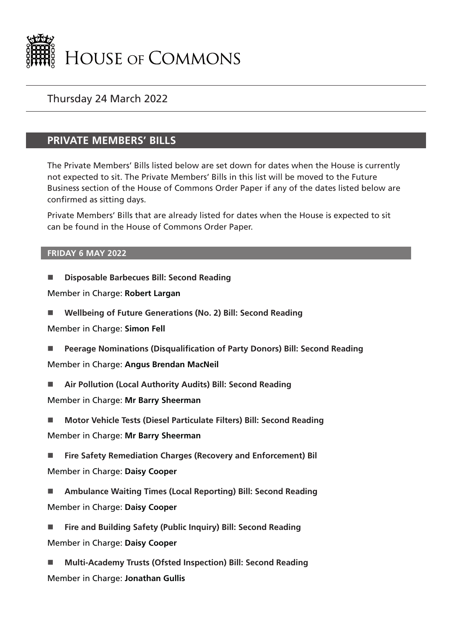

## Thursday 24 March 2022

## **PRIVATE MEMBERS' BILLS**

The Private Members' Bills listed below are set down for dates when the House is currently not expected to sit. The Private Members' Bills in this list will be moved to the Future Business section of the House of Commons Order Paper if any of the dates listed below are confirmed as sitting days.

Private Members' Bills that are already listed for dates when the House is expected to sit can be found in the House of Commons Order Paper.

## **FRIDAY 6 MAY 2022**

**Disposable Barbecues Bill: Second Reading**

Member in Charge: **Robert Largan**

**Wellbeing of Future Generations (No. 2) Bill: Second Reading**

Member in Charge: **Simon Fell**

- **Peerage Nominations (Disqualification of Party Donors) Bill: Second Reading** Member in Charge: **Angus Brendan MacNeil**
- **Air Pollution (Local Authority Audits) Bill: Second Reading**

Member in Charge: **Mr Barry Sheerman**

- **Motor Vehicle Tests (Diesel Particulate Filters) Bill: Second Reading** Member in Charge: **Mr Barry Sheerman**
- **Fire Safety Remediation Charges (Recovery and Enforcement) Bil** Member in Charge: **Daisy Cooper**
- **Ambulance Waiting Times (Local Reporting) Bill: Second Reading** Member in Charge: **Daisy Cooper**
- **Fire and Building Safety (Public Inquiry) Bill: Second Reading** Member in Charge: **Daisy Cooper**
- **Multi-Academy Trusts (Ofsted Inspection) Bill: Second Reading** Member in Charge: **Jonathan Gullis**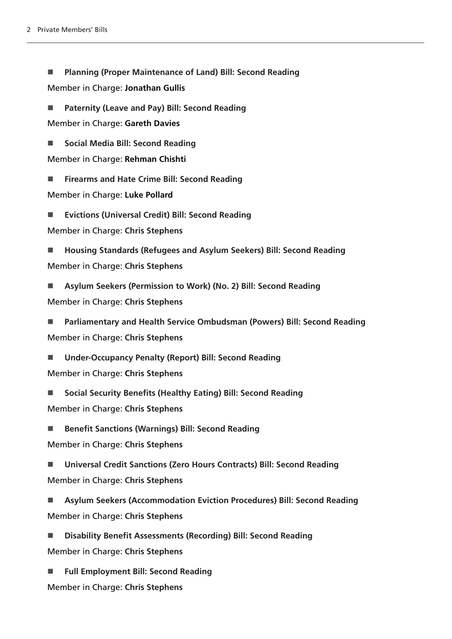**Planning (Proper Maintenance of Land) Bill: Second Reading** Member in Charge: **Jonathan Gullis**

 **Paternity (Leave and Pay) Bill: Second Reading** Member in Charge: **Gareth Davies**

■ Social Media Bill: Second Reading

Member in Charge: **Rehman Chishti**

**Firearms and Hate Crime Bill: Second Reading**

Member in Charge: **Luke Pollard**

**Evictions (Universal Credit) Bill: Second Reading**

Member in Charge: **Chris Stephens**

 **Housing Standards (Refugees and Asylum Seekers) Bill: Second Reading** Member in Charge: **Chris Stephens**

 **Asylum Seekers (Permission to Work) (No. 2) Bill: Second Reading** Member in Charge: **Chris Stephens**

 **Parliamentary and Health Service Ombudsman (Powers) Bill: Second Reading** Member in Charge: **Chris Stephens**

 **Under-Occupancy Penalty (Report) Bill: Second Reading** Member in Charge: **Chris Stephens**

■ Social Security Benefits (Healthy Eating) Bill: Second Reading Member in Charge: **Chris Stephens**

■ Benefit Sanctions (Warnings) Bill: Second Reading

Member in Charge: **Chris Stephens**

 **Universal Credit Sanctions (Zero Hours Contracts) Bill: Second Reading** Member in Charge: **Chris Stephens**

 **Asylum Seekers (Accommodation Eviction Procedures) Bill: Second Reading** Member in Charge: **Chris Stephens**

 **Disability Benefit Assessments (Recording) Bill: Second Reading** Member in Charge: **Chris Stephens**

 **Full Employment Bill: Second Reading** Member in Charge: **Chris Stephens**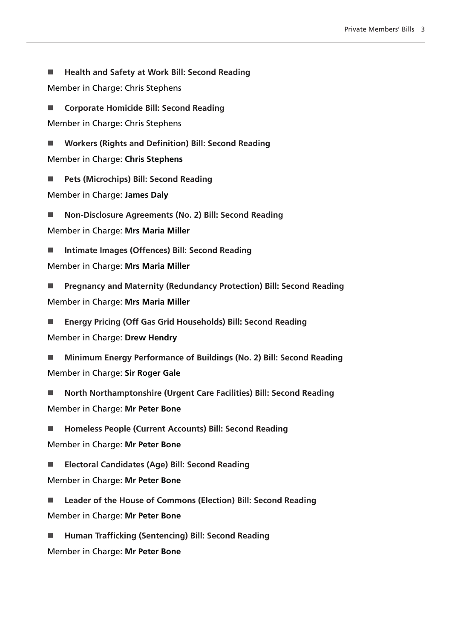■ Health and Safety at Work Bill: Second Reading

Member in Charge: Chris Stephens

 **Corporate Homicide Bill: Second Reading** Member in Charge: Chris Stephens

 **Workers (Rights and Definition) Bill: Second Reading** Member in Charge: **Chris Stephens**

**Pets (Microchips) Bill: Second Reading**

Member in Charge: **James Daly**

 **Non-Disclosure Agreements (No. 2) Bill: Second Reading** Member in Charge: **Mrs Maria Miller**

■ Intimate Images (Offences) Bill: Second Reading

Member in Charge: **Mrs Maria Miller**

 **Pregnancy and Maternity (Redundancy Protection) Bill: Second Reading** Member in Charge: **Mrs Maria Miller**

 **Energy Pricing (Off Gas Grid Households) Bill: Second Reading** Member in Charge: **Drew Hendry**

 **Minimum Energy Performance of Buildings (No. 2) Bill: Second Reading** Member in Charge: **Sir Roger Gale**

 **North Northamptonshire (Urgent Care Facilities) Bill: Second Reading** Member in Charge: **Mr Peter Bone**

 **Homeless People (Current Accounts) Bill: Second Reading** Member in Charge: **Mr Peter Bone**

 **Electoral Candidates (Age) Bill: Second Reading** Member in Charge: **Mr Peter Bone**

 **Leader of the House of Commons (Election) Bill: Second Reading** Member in Charge: **Mr Peter Bone**

 **Human Trafficking (Sentencing) Bill: Second Reading** Member in Charge: **Mr Peter Bone**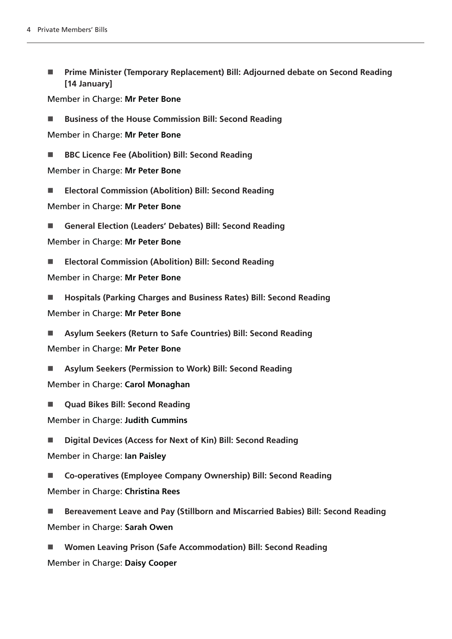■ Prime Minister (Temporary Replacement) Bill: Adjourned debate on Second Reading **[14 January]**

Member in Charge: **Mr Peter Bone**

■ Business of the House Commission Bill: Second Reading

Member in Charge: **Mr Peter Bone**

■ BBC Licence Fee (Abolition) Bill: Second Reading

Member in Charge: **Mr Peter Bone**

**Electoral Commission (Abolition) Bill: Second Reading**

Member in Charge: **Mr Peter Bone**

**General Election (Leaders' Debates) Bill: Second Reading**

Member in Charge: **Mr Peter Bone**

**Electoral Commission (Abolition) Bill: Second Reading**

Member in Charge: **Mr Peter Bone**

 **Hospitals (Parking Charges and Business Rates) Bill: Second Reading** Member in Charge: **Mr Peter Bone**

 **Asylum Seekers (Return to Safe Countries) Bill: Second Reading** Member in Charge: **Mr Peter Bone**

 **Asylum Seekers (Permission to Work) Bill: Second Reading** Member in Charge: **Carol Monaghan**

**Quad Bikes Bill: Second Reading**

Member in Charge: **Judith Cummins**

 **Digital Devices (Access for Next of Kin) Bill: Second Reading** Member in Charge: **Ian Paisley**

 **Co-operatives (Employee Company Ownership) Bill: Second Reading** Member in Charge: **Christina Rees**

■ Bereavement Leave and Pay (Stillborn and Miscarried Babies) Bill: Second Reading Member in Charge: **Sarah Owen**

 **Women Leaving Prison (Safe Accommodation) Bill: Second Reading** Member in Charge: **Daisy Cooper**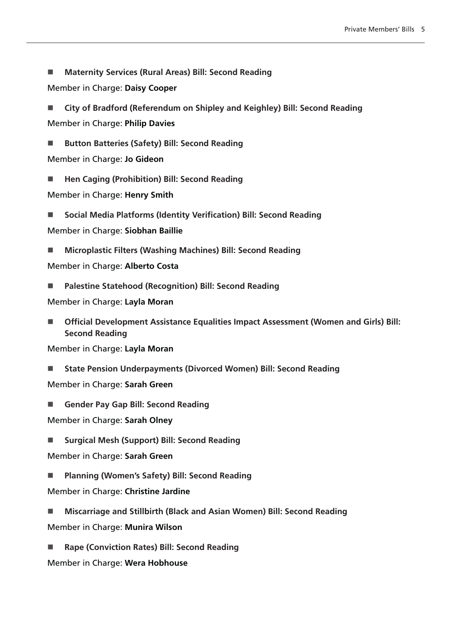- **Maternity Services (Rural Areas) Bill: Second Reading**
- Member in Charge: **Daisy Cooper**
- **City of Bradford (Referendum on Shipley and Keighley) Bill: Second Reading** Member in Charge: **Philip Davies**
- Button Batteries (Safety) Bill: Second Reading
- Member in Charge: **Jo Gideon**
- Hen Caging (Prohibition) Bill: Second Reading
- Member in Charge: **Henry Smith**
- **Social Media Platforms (Identity Verification) Bill: Second Reading**
- Member in Charge: **Siobhan Baillie**
- **Microplastic Filters (Washing Machines) Bill: Second Reading**

Member in Charge: **Alberto Costa**

**Palestine Statehood (Recognition) Bill: Second Reading**

Member in Charge: **Layla Moran**

■ Official Development Assistance Equalities Impact Assessment (Women and Girls) Bill: **Second Reading**

Member in Charge: **Layla Moran**

**State Pension Underpayments (Divorced Women) Bill: Second Reading**

Member in Charge: **Sarah Green**

**Gender Pay Gap Bill: Second Reading** 

Member in Charge: **Sarah Olney**

■ Surgical Mesh (Support) Bill: Second Reading

Member in Charge: **Sarah Green**

- **Planning (Women's Safety) Bill: Second Reading**
- Member in Charge: **Christine Jardine**
- **Miscarriage and Stillbirth (Black and Asian Women) Bill: Second Reading**
- Member in Charge: **Munira Wilson**
- **Rape (Conviction Rates) Bill: Second Reading**

Member in Charge: **Wera Hobhouse**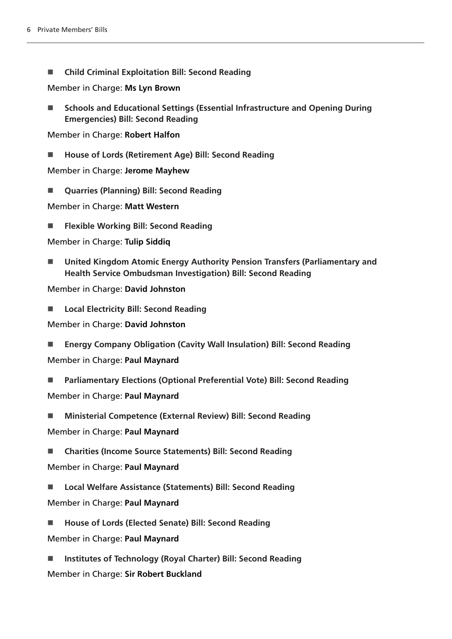**Child Criminal Exploitation Bill: Second Reading**

Member in Charge: **Ms Lyn Brown**

■ Schools and Educational Settings (Essential Infrastructure and Opening During **Emergencies) Bill: Second Reading**

Member in Charge: **Robert Halfon**

■ House of Lords (Retirement Age) Bill: Second Reading

Member in Charge: **Jerome Mayhew**

**Quarries (Planning) Bill: Second Reading**

Member in Charge: **Matt Western**

**Flexible Working Bill: Second Reading**

Member in Charge: **Tulip Siddiq**

 **United Kingdom Atomic Energy Authority Pension Transfers (Parliamentary and Health Service Ombudsman Investigation) Bill: Second Reading**

Member in Charge: **David Johnston**

**Local Electricity Bill: Second Reading**

Member in Charge: **David Johnston**

- **Energy Company Obligation (Cavity Wall Insulation) Bill: Second Reading** Member in Charge: **Paul Maynard**
- **Parliamentary Elections (Optional Preferential Vote) Bill: Second Reading** Member in Charge: **Paul Maynard**
- **Ministerial Competence (External Review) Bill: Second Reading**

Member in Charge: **Paul Maynard**

**Charities (Income Source Statements) Bill: Second Reading**

Member in Charge: **Paul Maynard**

- Local Welfare Assistance (Statements) Bill: Second Reading Member in Charge: **Paul Maynard**
- House of Lords (Elected Senate) Bill: Second Reading

Member in Charge: **Paul Maynard**

 **Institutes of Technology (Royal Charter) Bill: Second Reading** Member in Charge: **Sir Robert Buckland**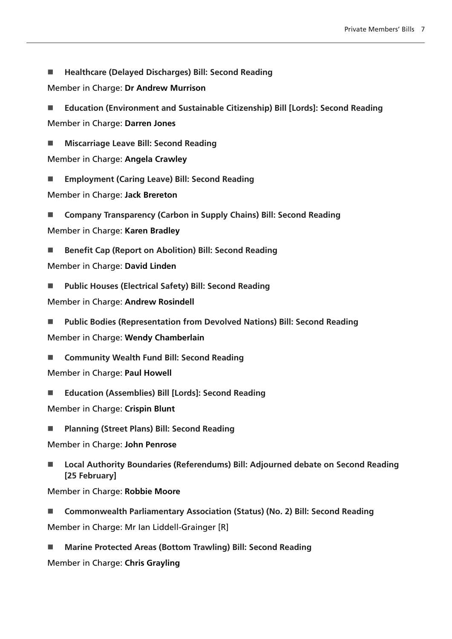**Healthcare (Delayed Discharges) Bill: Second Reading**

Member in Charge: **Dr Andrew Murrison**

 **Education (Environment and Sustainable Citizenship) Bill [Lords]: Second Reading** Member in Charge: **Darren Jones**

**Miscarriage Leave Bill: Second Reading**

Member in Charge: **Angela Crawley**

**Employment (Caring Leave) Bill: Second Reading**

Member in Charge: **Jack Brereton**

 **Company Transparency (Carbon in Supply Chains) Bill: Second Reading** Member in Charge: **Karen Bradley**

■ Benefit Cap (Report on Abolition) Bill: Second Reading

Member in Charge: **David Linden**

**Public Houses (Electrical Safety) Bill: Second Reading**

Member in Charge: **Andrew Rosindell**

 **Public Bodies (Representation from Devolved Nations) Bill: Second Reading** Member in Charge: **Wendy Chamberlain**

■ Community Wealth Fund Bill: Second Reading

Member in Charge: **Paul Howell**

■ Education (Assemblies) Bill [Lords]: Second Reading

Member in Charge: **Crispin Blunt**

**Planning (Street Plans) Bill: Second Reading**

Member in Charge: **John Penrose**

■ Local Authority Boundaries (Referendums) Bill: Adjourned debate on Second Reading **[25 February]**

Member in Charge: **Robbie Moore**

■ Commonwealth Parliamentary Association (Status) (No. 2) Bill: Second Reading Member in Charge: Mr Ian Liddell-Grainger [R]

 **Marine Protected Areas (Bottom Trawling) Bill: Second Reading** Member in Charge: **Chris Grayling**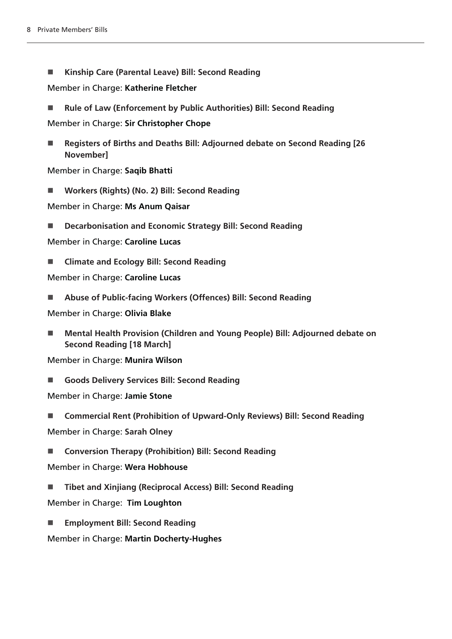**Kinship Care (Parental Leave) Bill: Second Reading**

Member in Charge: **Katherine Fletcher**

■ Rule of Law (Enforcement by Public Authorities) Bill: Second Reading

Member in Charge: **Sir Christopher Chope**

■ Registers of Births and Deaths Bill: Adjourned debate on Second Reading [26 **November]**

Member in Charge: **Saqib Bhatti**

**Workers (Rights) (No. 2) Bill: Second Reading**

Member in Charge: **Ms Anum Qaisar**

**Decarbonisation and Economic Strategy Bill: Second Reading**

Member in Charge: **Caroline Lucas**

**Climate and Ecology Bill: Second Reading**

Member in Charge: **Caroline Lucas**

**Abuse of Public-facing Workers (Offences) Bill: Second Reading**

Member in Charge: **Olivia Blake**

■ Mental Health Provision (Children and Young People) Bill: Adjourned debate on **Second Reading [18 March]**

Member in Charge: **Munira Wilson**

**Goods Delivery Services Bill: Second Reading**

Member in Charge: **Jamie Stone**

**Commercial Rent (Prohibition of Upward-Only Reviews) Bill: Second Reading**

Member in Charge: **Sarah Olney**

**Conversion Therapy (Prohibition) Bill: Second Reading**

Member in Charge: **Wera Hobhouse**

**Tibet and Xinjiang (Reciprocal Access) Bill: Second Reading**

Member in Charge: **Tim Loughton**

**Employment Bill: Second Reading**

Member in Charge: **Martin Docherty-Hughes**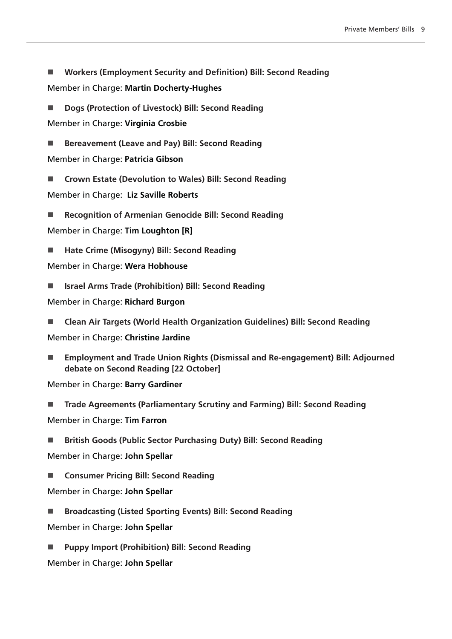- **Workers (Employment Security and Definition) Bill: Second Reading** Member in Charge: **Martin Docherty-Hughes**
- Dogs (Protection of Livestock) Bill: Second Reading Member in Charge: **Virginia Crosbie**

■ Bereavement (Leave and Pay) Bill: Second Reading

Member in Charge: **Patricia Gibson**

■ Crown Estate (Devolution to Wales) Bill: Second Reading Member in Charge: **Liz Saville Roberts**

**Recognition of Armenian Genocide Bill: Second Reading**

Member in Charge: **Tim Loughton [R]**

■ Hate Crime (Misogyny) Bill: Second Reading

Member in Charge: **Wera Hobhouse**

**Israel Arms Trade (Prohibition) Bill: Second Reading**

Member in Charge: **Richard Burgon**

**Clean Air Targets (World Health Organization Guidelines) Bill: Second Reading**

Member in Charge: **Christine Jardine**

 **Employment and Trade Union Rights (Dismissal and Re-engagement) Bill: Adjourned debate on Second Reading [22 October]**

Member in Charge: **Barry Gardiner**

- **Trade Agreements (Parliamentary Scrutiny and Farming) Bill: Second Reading** Member in Charge: **Tim Farron**
- **British Goods (Public Sector Purchasing Duty) Bill: Second Reading**

Member in Charge: **John Spellar**

**Consumer Pricing Bill: Second Reading**

Member in Charge: **John Spellar**

**Broadcasting (Listed Sporting Events) Bill: Second Reading**

Member in Charge: **John Spellar**

**Puppy Import (Prohibition) Bill: Second Reading**

Member in Charge: **John Spellar**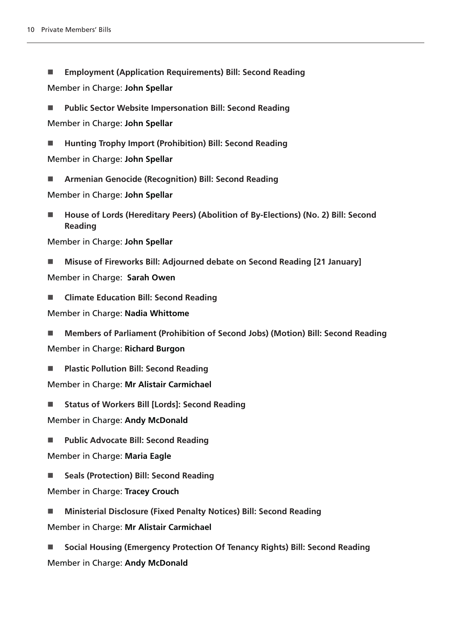- **Employment (Application Requirements) Bill: Second Reading** Member in Charge: **John Spellar**
- **Public Sector Website Impersonation Bill: Second Reading** Member in Charge: **John Spellar**
- **Hunting Trophy Import (Prohibition) Bill: Second Reading** Member in Charge: **John Spellar**
- **Armenian Genocide (Recognition) Bill: Second Reading**

Member in Charge: **John Spellar**

- **House of Lords (Hereditary Peers) (Abolition of By-Elections) (No. 2) Bill: Second Reading**
- Member in Charge: **John Spellar**
- **Misuse of Fireworks Bill: Adjourned debate on Second Reading [21 January]**

Member in Charge: **Sarah Owen**

**Climate Education Bill: Second Reading**

Member in Charge: **Nadia Whittome**

 **Members of Parliament (Prohibition of Second Jobs) (Motion) Bill: Second Reading** Member in Charge: **Richard Burgon**

**Plastic Pollution Bill: Second Reading**

Member in Charge: **Mr Alistair Carmichael**

■ Status of Workers Bill [Lords]: Second Reading

Member in Charge: **Andy McDonald**

**Public Advocate Bill: Second Reading**

Member in Charge: **Maria Eagle**

- Seals (Protection) Bill: Second Reading
- Member in Charge: **Tracey Crouch**
- **Ministerial Disclosure (Fixed Penalty Notices) Bill: Second Reading**
- Member in Charge: **Mr Alistair Carmichael**
- **Social Housing (Emergency Protection Of Tenancy Rights) Bill: Second Reading** Member in Charge: **Andy McDonald**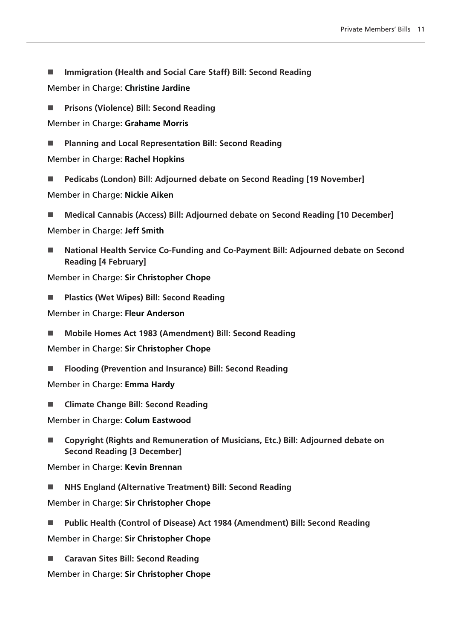**Immigration (Health and Social Care Staff) Bill: Second Reading**

Member in Charge: **Christine Jardine**

**Prisons (Violence) Bill: Second Reading**

Member in Charge: **Grahame Morris**

**Planning and Local Representation Bill: Second Reading**

Member in Charge: **Rachel Hopkins**

- **Pedicabs (London) Bill: Adjourned debate on Second Reading [19 November]** Member in Charge: **Nickie Aiken**
- **Medical Cannabis (Access) Bill: Adjourned debate on Second Reading [10 December]** Member in Charge: **Jeff Smith**
- **National Health Service Co-Funding and Co-Payment Bill: Adjourned debate on Second Reading [4 February]**

Member in Charge: **Sir Christopher Chope**

**Plastics (Wet Wipes) Bill: Second Reading**

Member in Charge: **Fleur Anderson**

**Mobile Homes Act 1983 (Amendment) Bill: Second Reading**

Member in Charge: **Sir Christopher Chope**

**Flooding (Prevention and Insurance) Bill: Second Reading**

Member in Charge: **Emma Hardy**

**Climate Change Bill: Second Reading**

Member in Charge: **Colum Eastwood**

■ [Copyright \(Rights and Remuneration of Musicians, Etc.\) Bill:](https://publications.parliament.uk/pa/bills/cbill/58-02/0019/210019.pdf) Adjourned debate on **Second Reading [3 December]**

Member in Charge: **Kevin Brennan**

**[NHS England \(Alternative Treatment\) Bill:](https://publications.parliament.uk/pa/bills/cbill/58-02/0094/210094.pdf) Second Reading**

Member in Charge: **Sir Christopher Chope**

- **[Public Health \(Control of Disease\) Act 1984 \(Amendment\) Bill:](https://publications.parliament.uk/pa/bills/cbill/58-02/0092/210092.pdf) Second Reading** Member in Charge: **Sir Christopher Chope**
- **[Caravan Sites Bill: S](https://publications.parliament.uk/pa/bills/cbill/58-02/0106/210106.pdf)econd Reading**

Member in Charge: **Sir Christopher Chope**